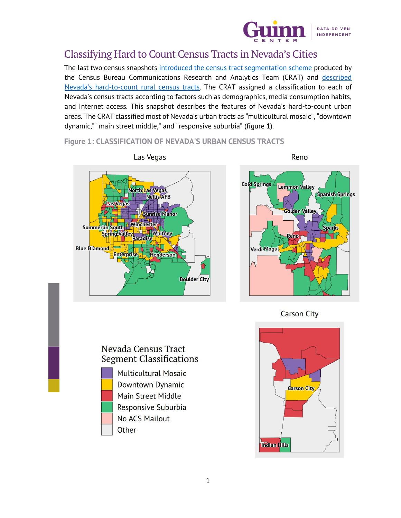

# Classifying Hard to Count Census Tracts in Nevada's Cities

The last two census snapshots [introduced the census tract segmentation scheme](https://guinncenter.org/the-2020-census-in-nevada-snapshot-4/) produced by the Census Bureau Communications Research and Analytics Team (CRAT) and [described](https://guinncenter.org/the-2020-census-in-nevada-snapshot-5/) Nevada's hard-to-count [rural census tracts.](https://guinncenter.org/the-2020-census-in-nevada-snapshot-5/) The CRAT assigned a classification to each of Nevada's census tracts according to factors such as demographics, media consumption habits, and Internet access. This snapshot describes the features of Nevada's hard-to-count urban areas. The CRAT classified most of Nevada's urban tracts as "multicultural mosaic", "downtown dynamic," "main street middle," and "responsive suburbia" (figure 1).

**Figure 1: CLASSIFICATION OF NEVADA'S URBAN CENSUS TRACTS**





**Carson City** 

#### Nevada Census Tract **Segment Classifications**



**Multicultural Mosaic** Downtown Dynamic Main Street Middle Responsive Suburbia **No ACS Mailout** Other

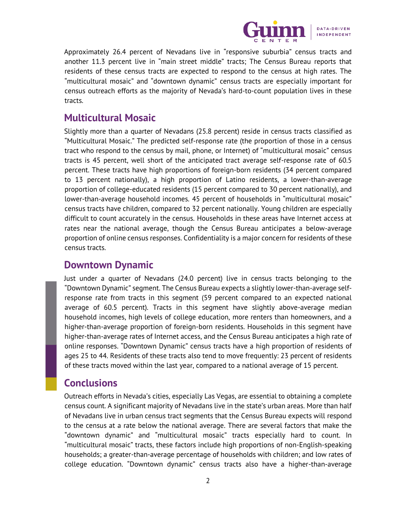

Approximately 26.4 percent of Nevadans live in "responsive suburbia" census tracts and another 11.3 percent live in "main street middle" tracts; The Census Bureau reports that residents of these census tracts are expected to respond to the census at high rates. The "multicultural mosaic" and "downtown dynamic" census tracts are especially important for census outreach efforts as the majority of Nevada's hard-to-count population lives in these tracts.

### **Multicultural Mosaic**

Slightly more than a quarter of Nevadans (25.8 percent) reside in census tracts classified as "Multicultural Mosaic." The predicted self-response rate (the proportion of those in a census tract who respond to the census by mail, phone, or Internet) of "multicultural mosaic" census tracts is 45 percent, well short of the anticipated tract average self-response rate of 60.5 percent. These tracts have high proportions of foreign-born residents (34 percent compared to 13 percent nationally), a high proportion of Latino residents, a lower-than-average proportion of college-educated residents (15 percent compared to 30 percent nationally), and lower-than-average household incomes. 45 percent of households in "multicultural mosaic" census tracts have children, compared to 32 percent nationally. Young children are especially difficult to count accurately in the census. Households in these areas have Internet access at rates near the national average, though the Census Bureau anticipates a below-average proportion of online census responses. Confidentiality is a major concern for residents of these census tracts.

# **Downtown Dynamic**

Just under a quarter of Nevadans (24.0 percent) live in census tracts belonging to the "Downtown Dynamic" segment. The Census Bureau expects a slightly lower-than-average selfresponse rate from tracts in this segment (59 percent compared to an expected national average of 60.5 percent). Tracts in this segment have slightly above-average median household incomes, high levels of college education, more renters than homeowners, and a higher-than-average proportion of foreign-born residents. Households in this segment have higher-than-average rates of Internet access, and the Census Bureau anticipates a high rate of online responses. "Downtown Dynamic" census tracts have a high proportion of residents of ages 25 to 44. Residents of these tracts also tend to move frequently: 23 percent of residents of these tracts moved within the last year, compared to a national average of 15 percent.

# **Conclusions**

Outreach efforts in Nevada's cities, especially Las Vegas, are essential to obtaining a complete census count. A significant majority of Nevadans live in the state's urban areas. More than half of Nevadans live in urban census tract segments that the Census Bureau expects will respond to the census at a rate below the national average. There are several factors that make the "downtown dynamic" and "multicultural mosaic" tracts especially hard to count. In "multicultural mosaic" tracts, these factors include high proportions of non-English-speaking households; a greater-than-average percentage of households with children; and low rates of college education. "Downtown dynamic" census tracts also have a higher-than-average